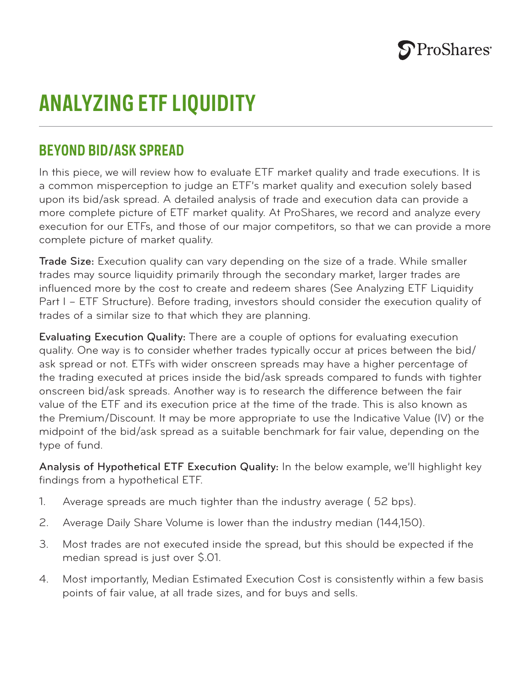

## **ANALYZING ETF LIQUIDITY**

## **BEYOND BID/ASK SPREAD**

In this piece, we will review how to evaluate ETF market quality and trade executions. It is a common misperception to judge an ETF's market quality and execution solely based upon its bid/ask spread. A detailed analysis of trade and execution data can provide a more complete picture of ETF market quality. At ProShares, we record and analyze every execution for our ETFs, and those of our major competitors, so that we can provide a more complete picture of market quality.

Trade Size: Execution quality can vary depending on the size of a trade. While smaller trades may source liquidity primarily through the secondary market, larger trades are influenced more by the cost to create and redeem shares (See Analyzing ETF Liquidity Part I – ETF Structure). Before trading, investors should consider the execution quality of trades of a similar size to that which they are planning.

Evaluating Execution Quality: There are a couple of options for evaluating execution quality. One way is to consider whether trades typically occur at prices between the bid/ ask spread or not. ETFs with wider onscreen spreads may have a higher percentage of the trading executed at prices inside the bid/ask spreads compared to funds with tighter onscreen bid/ask spreads. Another way is to research the difference between the fair value of the ETF and its execution price at the time of the trade. This is also known as the Premium/Discount. It may be more appropriate to use the Indicative Value (IV) or the midpoint of the bid/ask spread as a suitable benchmark for fair value, depending on the type of fund.

Analysis of Hypothetical ETF Execution Quality: In the below example, we'll highlight key findings from a hypothetical ETF.

- 1. Average spreads are much tighter than the industry average ( 52 bps).
- 2. Average Daily Share Volume is lower than the industry median (144,150).
- 3. Most trades are not executed inside the spread, but this should be expected if the median spread is just over \$.01.
- 4. Most importantly, Median Estimated Execution Cost is consistently within a few basis points of fair value, at all trade sizes, and for buys and sells.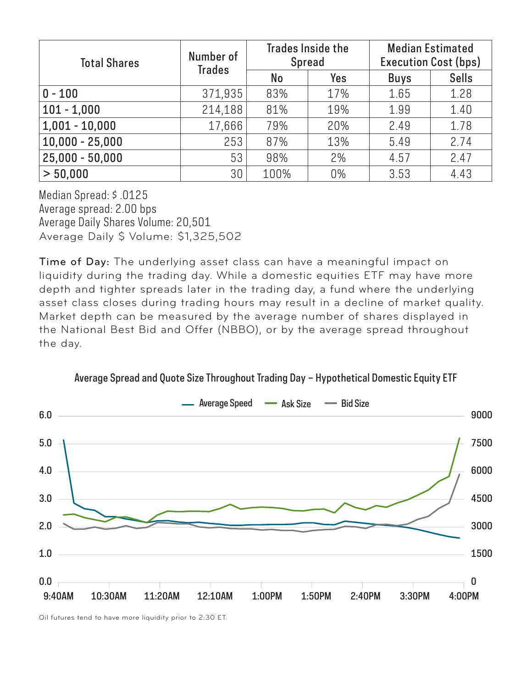| <b>Total Shares</b> | Number of<br><b>Trades</b> | <b>Trades Inside the</b><br><b>Spread</b> |     | <b>Median Estimated</b><br><b>Execution Cost (bps)</b> |              |
|---------------------|----------------------------|-------------------------------------------|-----|--------------------------------------------------------|--------------|
|                     |                            | No                                        | Yes | <b>Buys</b>                                            | <b>Sells</b> |
| $0 - 100$           | 371,935                    | 83%                                       | 17% | 1.65                                                   | 1.28         |
| $101 - 1,000$       | 214,188                    | 81%                                       | 19% | 1.99                                                   | 1.40         |
| $1,001 - 10,000$    | 17,666                     | 79%                                       | 20% | 2.49                                                   | 1.78         |
| $10,000 - 25,000$   | 253                        | 87%                                       | 13% | 5.49                                                   | 2.74         |
| $25,000 - 50,000$   | 53                         | 98%                                       | 2%  | 4.57                                                   | 2.47         |
| > 50,000            | 30                         | 100%                                      | 0%  | 3.53                                                   | 4.43         |

Median Spread: \$ .0125 Average spread: 2.00 bps Average Daily Shares Volume: 20,501 Average Daily \$ Volume: \$1,325,502

Time of Day: The underlying asset class can have a meaningful impact on liquidity during the trading day. While a domestic equities ETF may have more depth and tighter spreads later in the trading day, a fund where the underlying asset class closes during trading hours may result in a decline of market quality. Market depth can be measured by the average number of shares displayed in the National Best Bid and Offer (NBBO), or by the average spread throughout the day.



Average Spread and Quote Size Throughout Trading Day – Hypothetical Domestic Equity ETF

Oil futures tend to have more liquidity prior to 2:30 ET.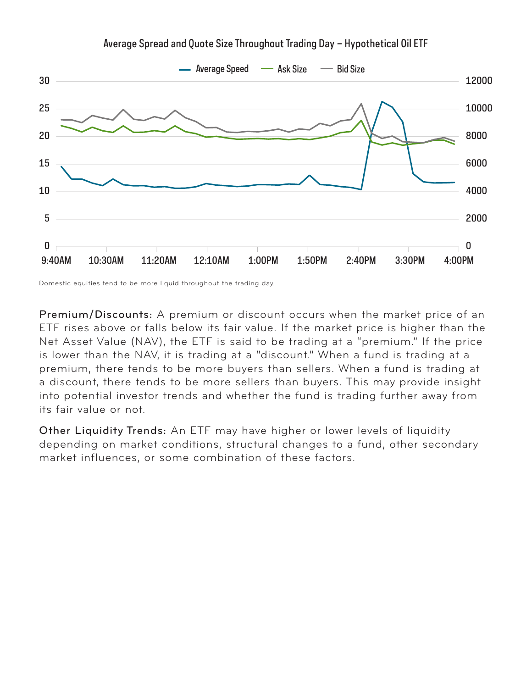

Average Spread and Quote Size Throughout Trading Day – Hypothetical Oil ETF

Domestic equities tend to be more liquid throughout the trading day.

Premium/Discounts: A premium or discount occurs when the market price of an ETF rises above or falls below its fair value. If the market price is higher than the Net Asset Value (NAV), the ETF is said to be trading at a "premium." If the price is lower than the NAV, it is trading at a "discount." When a fund is trading at a premium, there tends to be more buyers than sellers. When a fund is trading at a discount, there tends to be more sellers than buyers. This may provide insight into potential investor trends and whether the fund is trading further away from its fair value or not.

Other Liquidity Trends: An ETF may have higher or lower levels of liquidity depending on market conditions, structural changes to a fund, other secondary market influences, or some combination of these factors.